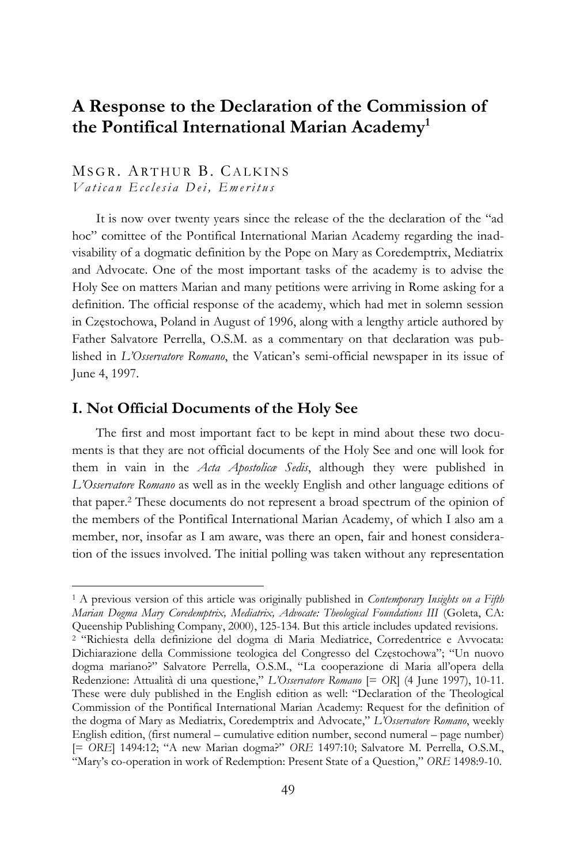# **A Response to the Declaration of the Commission of the Pontifical International Marian Academy<sup>1</sup>**

# MSGR. ARTHUR B. CALKINS *V a t i c a n E c c l e s i a D e i , E m e r i t u s*

It is now over twenty years since the release of the the declaration of the "ad hoc" comittee of the Pontifical International Marian Academy regarding the inadvisability of a dogmatic definition by the Pope on Mary as Coredemptrix, Mediatrix and Advocate. One of the most important tasks of the academy is to advise the Holy See on matters Marian and many petitions were arriving in Rome asking for a definition. The official response of the academy, which had met in solemn session in Częstochowa, Poland in August of 1996, along with a lengthy article authored by Father Salvatore Perrella, O.S.M. as a commentary on that declaration was published in *L'Osservatore Romano*, the Vatican's semi-official newspaper in its issue of June 4, 1997.

#### **I. Not Official Documents of the Holy See**

 $\overline{a}$ 

The first and most important fact to be kept in mind about these two documents is that they are not official documents of the Holy See and one will look for them in vain in the *Acta Apostolicæ Sedis*, although they were published in *L'Osservatore Romano* as well as in the weekly English and other language editions of that paper.<sup>2</sup> These documents do not represent a broad spectrum of the opinion of the members of the Pontifical International Marian Academy, of which I also am a member, nor, insofar as I am aware, was there an open, fair and honest consideration of the issues involved. The initial polling was taken without any representation

<sup>1</sup> A previous version of this article was originally published in *Contemporary Insights on a Fifth Marian Dogma Mary Coredemptrix, Mediatrix, Advocate: Theological Foundations III* (Goleta, CA: Queenship Publishing Company, 2000), 125-134. But this article includes updated revisions. <sup>2</sup> "Richiesta della definizione del dogma di Maria Mediatrice, Corredentrice e Avvocata: Dichiarazione della Commissione teologica del Congresso del Częstochowa"; "Un nuovo dogma mariano?" Salvatore Perrella, O.S.M., "La cooperazione di Maria all'opera della Redenzione: Attualità di una questione," *L'Osservatore Romano* [= *OR*] (4 June 1997), 10-11. These were duly published in the English edition as well: "Declaration of the Theological Commission of the Pontifical International Marian Academy: Request for the definition of the dogma of Mary as Mediatrix, Coredemptrix and Advocate," *L'Osservatore Romano*, weekly English edition, (first numeral – cumulative edition number, second numeral – page number) [= *ORE*] 1494:12; "A new Marian dogma?" *ORE* 1497:10; Salvatore M. Perrella, O.S.M., "Mary's co-operation in work of Redemption: Present State of a Question," *ORE* 1498:9-10.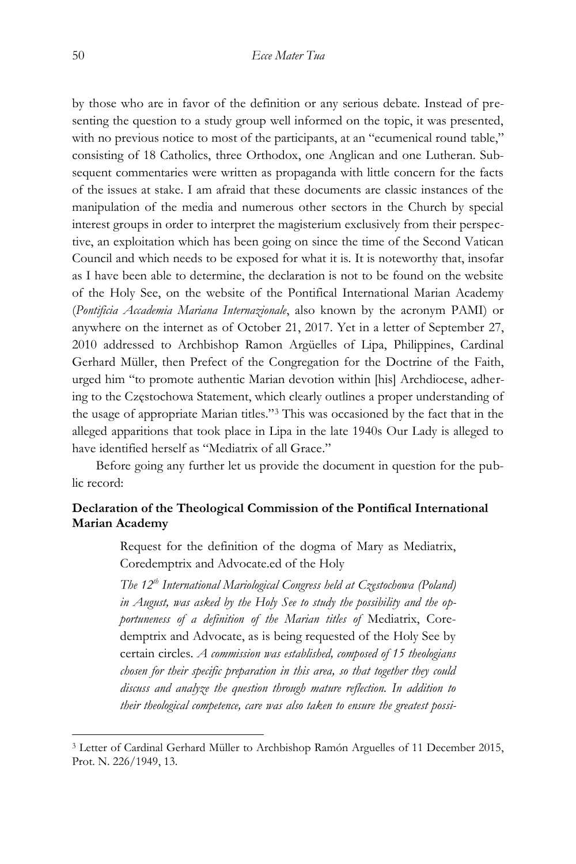by those who are in favor of the definition or any serious debate. Instead of presenting the question to a study group well informed on the topic, it was presented, with no previous notice to most of the participants, at an "ecumenical round table," consisting of 18 Catholics, three Orthodox, one Anglican and one Lutheran. Subsequent commentaries were written as propaganda with little concern for the facts of the issues at stake. I am afraid that these documents are classic instances of the manipulation of the media and numerous other sectors in the Church by special interest groups in order to interpret the magisterium exclusively from their perspective, an exploitation which has been going on since the time of the Second Vatican Council and which needs to be exposed for what it is. It is noteworthy that, insofar as I have been able to determine, the declaration is not to be found on the website of the Holy See, on the website of the Pontifical International Marian Academy (*Pontificia Accademia Mariana Internazionale*, also known by the acronym PAMI) or anywhere on the internet as of October 21, 2017. Yet in a letter of September 27, 2010 addressed to Archbishop Ramon Argüelles of Lipa, Philippines, Cardinal Gerhard Müller, then Prefect of the Congregation for the Doctrine of the Faith, urged him "to promote authentic Marian devotion within [his] Archdiocese, adhering to the Częstochowa Statement, which clearly outlines a proper understanding of the usage of appropriate Marian titles."<sup>3</sup> This was occasioned by the fact that in the alleged apparitions that took place in Lipa in the late 1940s Our Lady is alleged to have identified herself as "Mediatrix of all Grace."

Before going any further let us provide the document in question for the public record:

#### **Declaration of the Theological Commission of the Pontifical International Marian Academy**

Request for the definition of the dogma of Mary as Mediatrix, Coredemptrix and Advocate.ed of the Holy

*The 12th International Mariological Congress held at Częstochowa (Poland) in August, was asked by the Holy See to study the possibility and the opportuneness of a definition of the Marian titles of* Mediatrix, Coredemptrix and Advocate, as is being requested of the Holy See by certain circles. *A commission was established, composed of 15 theologians chosen for their specific preparation in this area, so that together they could discuss and analyze the question through mature reflection. In addition to their theological competence, care was also taken to ensure the greatest possi-*

<sup>3</sup> Letter of Cardinal Gerhard Müller to Archbishop Ramón Arguelles of 11 December 2015, Prot. N. 226/1949, 13.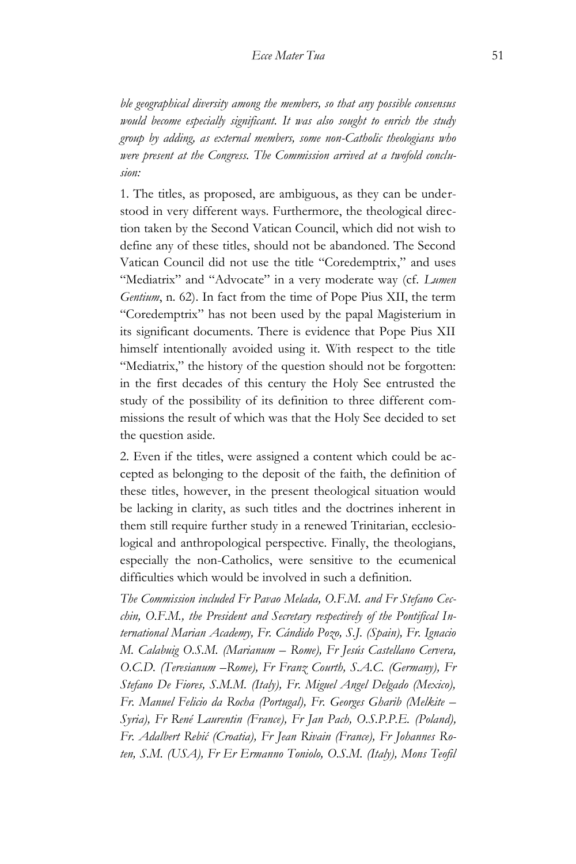*ble geographical diversity among the members, so that any possible consensus would become especially significant. It was also sought to enrich the study group by adding, as external members, some non-Catholic theologians who were present at the Congress. The Commission arrived at a twofold conclusion:*

1. The titles, as proposed, are ambiguous, as they can be understood in very different ways. Furthermore, the theological direction taken by the Second Vatican Council, which did not wish to define any of these titles, should not be abandoned. The Second Vatican Council did not use the title "Coredemptrix," and uses "Mediatrix" and "Advocate" in a very moderate way (cf. *Lumen Gentium*, n. 62). In fact from the time of Pope Pius XII, the term "Coredemptrix" has not been used by the papal Magisterium in its significant documents. There is evidence that Pope Pius XII himself intentionally avoided using it. With respect to the title "Mediatrix," the history of the question should not be forgotten: in the first decades of this century the Holy See entrusted the study of the possibility of its definition to three different commissions the result of which was that the Holy See decided to set the question aside.

2. Even if the titles, were assigned a content which could be accepted as belonging to the deposit of the faith, the definition of these titles, however, in the present theological situation would be lacking in clarity, as such titles and the doctrines inherent in them still require further study in a renewed Trinitarian, ecclesiological and anthropological perspective. Finally, the theologians, especially the non-Catholics, were sensitive to the ecumenical difficulties which would be involved in such a definition.

*The Commission included Fr Pavao Melada, O.F.M. and Fr Stefano Cecchin, O.F.M., the President and Secretary respectively of the Pontifical International Marian Academy, Fr. Cándido Pozo, S.J. (Spain), Fr. Ignacio M. Calabuig O.S.M. (Marianum – Rome), Fr Jesús Castellano Cervera, O.C.D. (Teresianum –Rome), Fr Franz Courth, S.A.C. (Germany), Fr Stefano De Fiores, S.M.M. (Italy), Fr. Miguel Angel Delgado (Mexico), Fr. Manuel Felicio da Rocha (Portugal), Fr. Georges Gharib (Melkite – Syria), Fr René Laurentin (France), Fr Jan Pach, O.S.P.P.E. (Poland), Fr. Adalbert Rebić (Croatia), Fr Jean Rivain (France), Fr Johannes Roten, S.M. (USA), Fr Er Ermanno Toniolo, O.S.M. (Italy), Mons Teofil*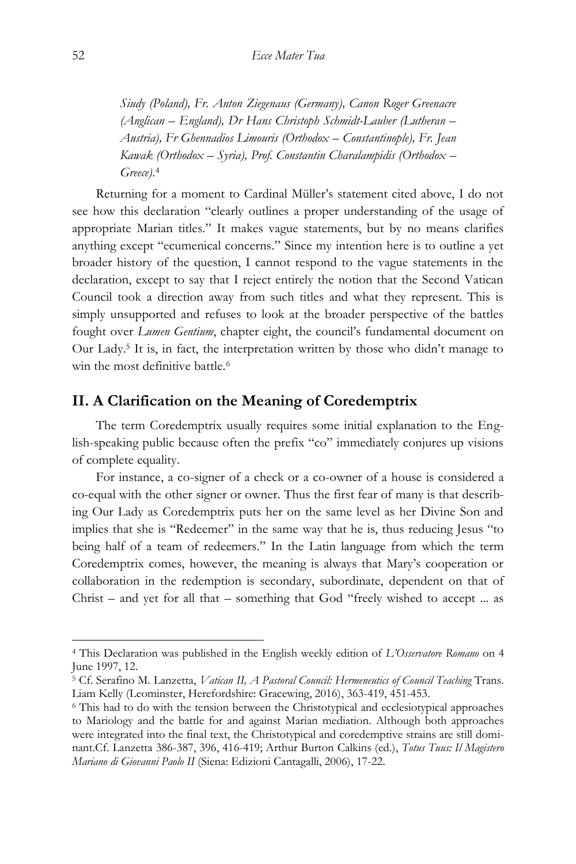*Siudy (Poland), Fr. Anton Ziegenaus (Germany), Canon Roger Greenacre (Anglican – England), Dr Hans Christoph Schmidt-Lauber (Lutheran – Austria), Fr Ghennadios Limouris (Orthodox – Constantinople), Fr. Jean Kawak (Orthodox – Syria), Prof. Constantin Charalampidis (Orthodox – Greece)*. 4

Returning for a moment to Cardinal Müller's statement cited above, I do not see how this declaration "clearly outlines a proper understanding of the usage of appropriate Marian titles." It makes vague statements, but by no means clarifies anything except "ecumenical concerns." Since my intention here is to outline a yet broader history of the question, I cannot respond to the vague statements in the declaration, except to say that I reject entirely the notion that the Second Vatican Council took a direction away from such titles and what they represent. This is simply unsupported and refuses to look at the broader perspective of the battles fought over *Lumen Gentium*, chapter eight, the council's fundamental document on Our Lady.<sup>5</sup> It is, in fact, the interpretation written by those who didn't manage to win the most definitive battle.<sup>6</sup>

#### **II. A Clarification on the Meaning of Coredemptrix**

The term Coredemptrix usually requires some initial explanation to the English-speaking public because often the prefix "co" immediately conjures up visions of complete equality.

For instance, a co-signer of a check or a co-owner of a house is considered a co-equal with the other signer or owner. Thus the first fear of many is that describing Our Lady as Coredemptrix puts her on the same level as her Divine Son and implies that she is "Redeemer" in the same way that he is, thus reducing Jesus "to being half of a team of redeemers." In the Latin language from which the term Coredemptrix comes, however, the meaning is always that Mary's cooperation or collaboration in the redemption is secondary, subordinate, dependent on that of Christ – and yet for all that – something that God "freely wished to accept ... as

<sup>4</sup> This Declaration was published in the English weekly edition of *L'Osservatore Romano* on 4 June 1997, 12.

<sup>5</sup> Cf. Serafino M. Lanzetta, *Vatican II, A Pastoral Council: Hermeneutics of Council Teaching* Trans. Liam Kelly (Leominster, Herefordshire: Gracewing, 2016), 363-419, 451-453.

<sup>6</sup> This had to do with the tension between the Christotypical and ecclesiotypical approaches to Mariology and the battle for and against Marian mediation. Although both approaches were integrated into the final text, the Christotypical and coredemptive strains are still dominant.Cf. Lanzetta 386-387, 396, 416-419; Arthur Burton Calkins (ed.), *Totus Tuus: Il Magistero Mariano di Giovanni Paolo II* (Siena: Edizioni Cantagalli, 2006), 17-22.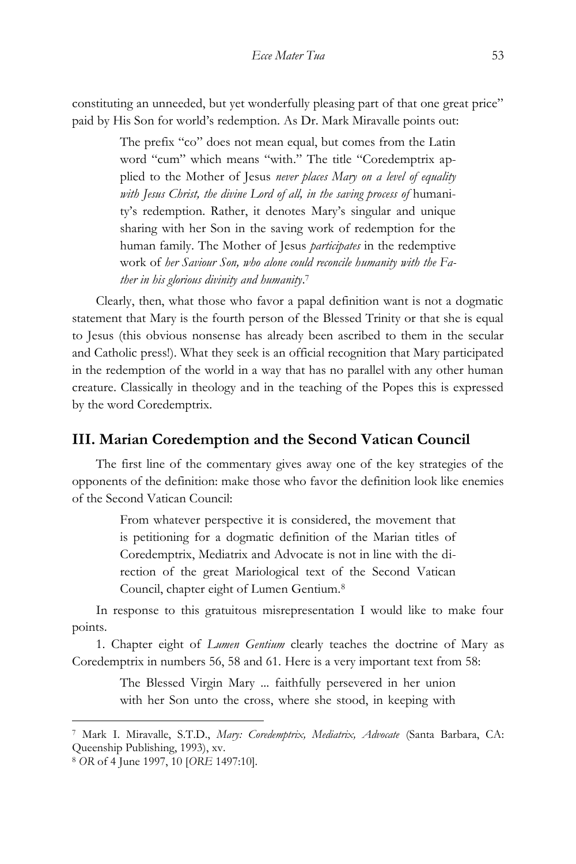constituting an unneeded, but yet wonderfully pleasing part of that one great price" paid by His Son for world's redemption. As Dr. Mark Miravalle points out:

> The prefix "co" does not mean equal, but comes from the Latin word "cum" which means "with." The title "Coredemptrix applied to the Mother of Jesus *never places Mary on a level of equality*  with Jesus Christ, the divine Lord of all, in the saving process of humanity's redemption. Rather, it denotes Mary's singular and unique sharing with her Son in the saving work of redemption for the human family. The Mother of Jesus *participates* in the redemptive work of *her Saviour Son, who alone could reconcile humanity with the Father in his glorious divinity and humanity*. 7

Clearly, then, what those who favor a papal definition want is not a dogmatic statement that Mary is the fourth person of the Blessed Trinity or that she is equal to Jesus (this obvious nonsense has already been ascribed to them in the secular and Catholic press!). What they seek is an official recognition that Mary participated in the redemption of the world in a way that has no parallel with any other human creature. Classically in theology and in the teaching of the Popes this is expressed by the word Coredemptrix.

# **III. Marian Coredemption and the Second Vatican Council**

The first line of the commentary gives away one of the key strategies of the opponents of the definition: make those who favor the definition look like enemies of the Second Vatican Council:

> From whatever perspective it is considered, the movement that is petitioning for a dogmatic definition of the Marian titles of Coredemptrix, Mediatrix and Advocate is not in line with the direction of the great Mariological text of the Second Vatican Council, chapter eight of Lumen Gentium.<sup>8</sup>

In response to this gratuitous misrepresentation I would like to make four points.

1. Chapter eight of *Lumen Gentium* clearly teaches the doctrine of Mary as Coredemptrix in numbers 56, 58 and 61. Here is a very important text from 58:

> The Blessed Virgin Mary ... faithfully persevered in her union with her Son unto the cross, where she stood, in keeping with

<sup>7</sup> Mark I. Miravalle, S.T.D., *Mary: Coredemptrix, Mediatrix, Advocate* (Santa Barbara, CA: Queenship Publishing, 1993), xv.

<sup>8</sup> *OR* of 4 June 1997, 10 [*ORE* 1497:10].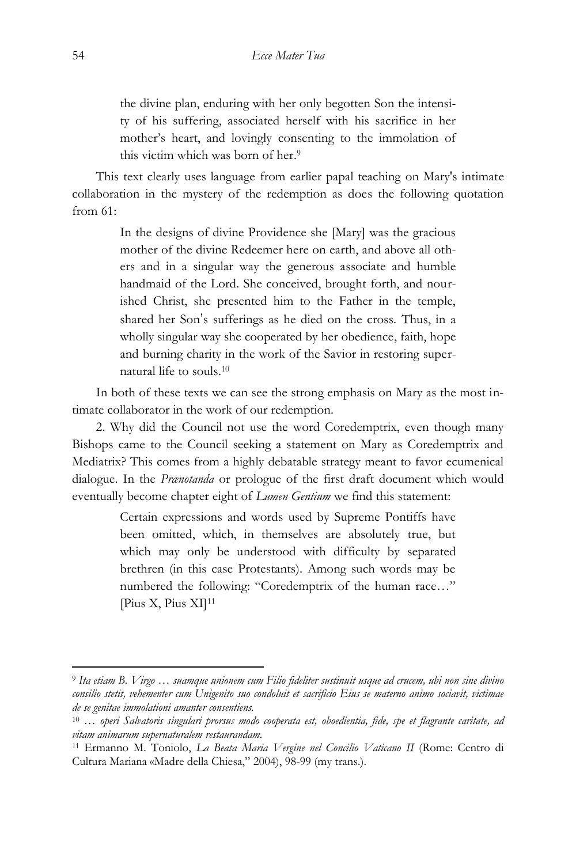the divine plan, enduring with her only begotten Son the intensity of his suffering, associated herself with his sacrifice in her mother's heart, and lovingly consenting to the immolation of this victim which was born of her. 9

This text clearly uses language from earlier papal teaching on Mary's intimate collaboration in the mystery of the redemption as does the following quotation from 61:

> In the designs of divine Providence she [Mary] was the gracious mother of the divine Redeemer here on earth, and above all others and in a singular way the generous associate and humble handmaid of the Lord. She conceived, brought forth, and nourished Christ, she presented him to the Father in the temple, shared her Son's sufferings as he died on the cross. Thus, in a wholly singular way she cooperated by her obedience, faith, hope and burning charity in the work of the Savior in restoring supernatural life to souls. 10

In both of these texts we can see the strong emphasis on Mary as the most intimate collaborator in the work of our redemption.

2. Why did the Council not use the word Coredemptrix, even though many Bishops came to the Council seeking a statement on Mary as Coredemptrix and Mediatrix? This comes from a highly debatable strategy meant to favor ecumenical dialogue. In the *Prænotanda* or prologue of the first draft document which would eventually become chapter eight of *Lumen Gentium* we find this statement:

> Certain expressions and words used by Supreme Pontiffs have been omitted, which, in themselves are absolutely true, but which may only be understood with difficulty by separated brethren (in this case Protestants). Among such words may be numbered the following: "Coredemptrix of the human race…" [Pius X, Pius XI]<sup>11</sup>

<sup>9</sup> *Ita etiam B. Virgo … suamque unionem cum Filio fideliter sustinuit usque ad crucem, ubi non sine divino consilio stetit, vehementer cum Unigenito suo condoluit et sacrificio Eius se materno animo sociavit, victimae de se genitae immolationi amanter consentiens.*

<sup>10</sup> … *operi Salvatoris singulari prorsus modo cooperata est, oboedientia, fide, spe et flagrante caritate, ad vitam animarum supernaturalem restaurandam.*

<sup>11</sup> Ermanno M. Toniolo, *La Beata Maria Vergine nel Concilio Vaticano II* (Rome: Centro di Cultura Mariana «Madre della Chiesa," 2004), 98-99 (my trans.).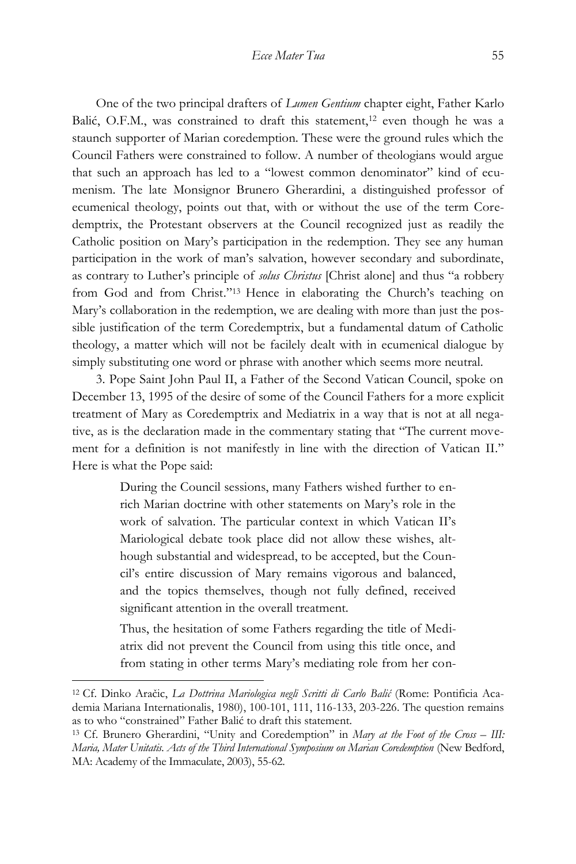One of the two principal drafters of *Lumen Gentium* chapter eight, Father Karlo Balić, O.F.M., was constrained to draft this statement,<sup>12</sup> even though he was a staunch supporter of Marian coredemption. These were the ground rules which the Council Fathers were constrained to follow. A number of theologians would argue that such an approach has led to a "lowest common denominator" kind of ecumenism. The late Monsignor Brunero Gherardini, a distinguished professor of ecumenical theology, points out that, with or without the use of the term Coredemptrix, the Protestant observers at the Council recognized just as readily the Catholic position on Mary's participation in the redemption. They see any human participation in the work of man's salvation, however secondary and subordinate, as contrary to Luther's principle of *solus Christus* [Christ alone] and thus "a robbery from God and from Christ."<sup>13</sup> Hence in elaborating the Church's teaching on Mary's collaboration in the redemption, we are dealing with more than just the possible justification of the term Coredemptrix, but a fundamental datum of Catholic theology, a matter which will not be facilely dealt with in ecumenical dialogue by simply substituting one word or phrase with another which seems more neutral.

3. Pope Saint John Paul II, a Father of the Second Vatican Council, spoke on December 13, 1995 of the desire of some of the Council Fathers for a more explicit treatment of Mary as Coredemptrix and Mediatrix in a way that is not at all negative, as is the declaration made in the commentary stating that "The current movement for a definition is not manifestly in line with the direction of Vatican II." Here is what the Pope said:

> During the Council sessions, many Fathers wished further to enrich Marian doctrine with other statements on Mary's role in the work of salvation. The particular context in which Vatican II's Mariological debate took place did not allow these wishes, although substantial and widespread, to be accepted, but the Council's entire discussion of Mary remains vigorous and balanced, and the topics themselves, though not fully defined, received significant attention in the overall treatment.

> Thus, the hesitation of some Fathers regarding the title of Mediatrix did not prevent the Council from using this title once, and from stating in other terms Mary's mediating role from her con-

<sup>12</sup> Cf. Dinko Aračic, *La Dottrina Mariologica negli Scritti di Carlo Balić* (Rome: Pontificia Academia Mariana Internationalis, 1980), 100-101, 111, 116-133, 203-226. The question remains as to who "constrained" Father Balić to draft this statement.

<sup>13</sup> Cf. Brunero Gherardini, "Unity and Coredemption" in *Mary at the Foot of the Cross – III: Maria, Mater Unitatis. Acts of the Third International Symposium on Marian Coredemption* (New Bedford, MA: Academy of the Immaculate, 2003), 55-62.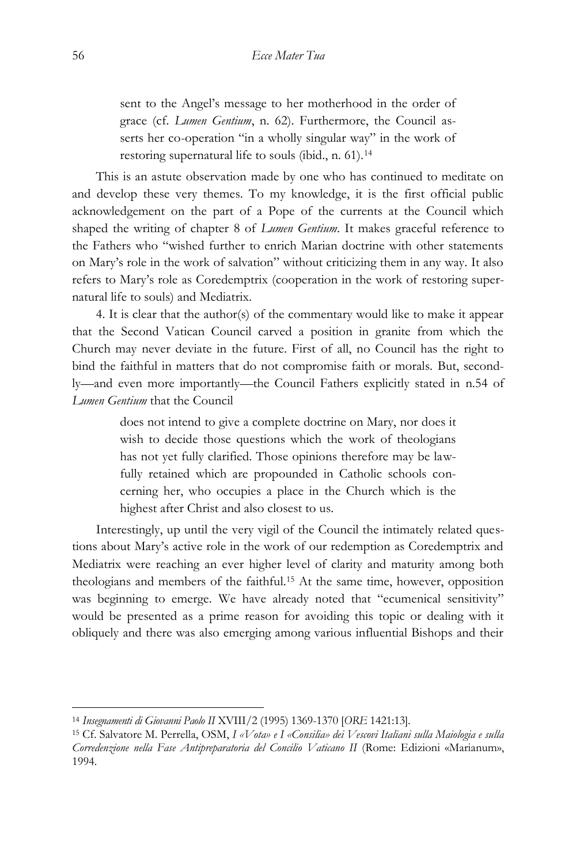sent to the Angel's message to her motherhood in the order of grace (cf. *Lumen Gentium*, n. 62). Furthermore, the Council asserts her co-operation "in a wholly singular way" in the work of restoring supernatural life to souls (ibid., n. 61).<sup>14</sup>

This is an astute observation made by one who has continued to meditate on and develop these very themes. To my knowledge, it is the first official public acknowledgement on the part of a Pope of the currents at the Council which shaped the writing of chapter 8 of *Lumen Gentium*. It makes graceful reference to the Fathers who "wished further to enrich Marian doctrine with other statements on Mary's role in the work of salvation" without criticizing them in any way. It also refers to Mary's role as Coredemptrix (cooperation in the work of restoring supernatural life to souls) and Mediatrix.

4. It is clear that the author(s) of the commentary would like to make it appear that the Second Vatican Council carved a position in granite from which the Church may never deviate in the future. First of all, no Council has the right to bind the faithful in matters that do not compromise faith or morals. But, secondly—and even more importantly—the Council Fathers explicitly stated in n.54 of *Lumen Gentium* that the Council

> does not intend to give a complete doctrine on Mary, nor does it wish to decide those questions which the work of theologians has not yet fully clarified. Those opinions therefore may be lawfully retained which are propounded in Catholic schools concerning her, who occupies a place in the Church which is the highest after Christ and also closest to us.

Interestingly, up until the very vigil of the Council the intimately related questions about Mary's active role in the work of our redemption as Coredemptrix and Mediatrix were reaching an ever higher level of clarity and maturity among both theologians and members of the faithful.<sup>15</sup> At the same time, however, opposition was beginning to emerge. We have already noted that "ecumenical sensitivity" would be presented as a prime reason for avoiding this topic or dealing with it obliquely and there was also emerging among various influential Bishops and their

<sup>14</sup> *Insegnamenti di Giovanni Paolo II* XVIII/2 (1995) 1369-1370 [*ORE* 1421:13].

<sup>15</sup> Cf. Salvatore M. Perrella, OSM, *I «Vota» e I «Consilia» dei Vescovi Italiani sulla Maiologia e sulla Corredenzione nella Fase Antipreparatoria del Concilio Vaticano II* (Rome: Edizioni «Marianum», 1994.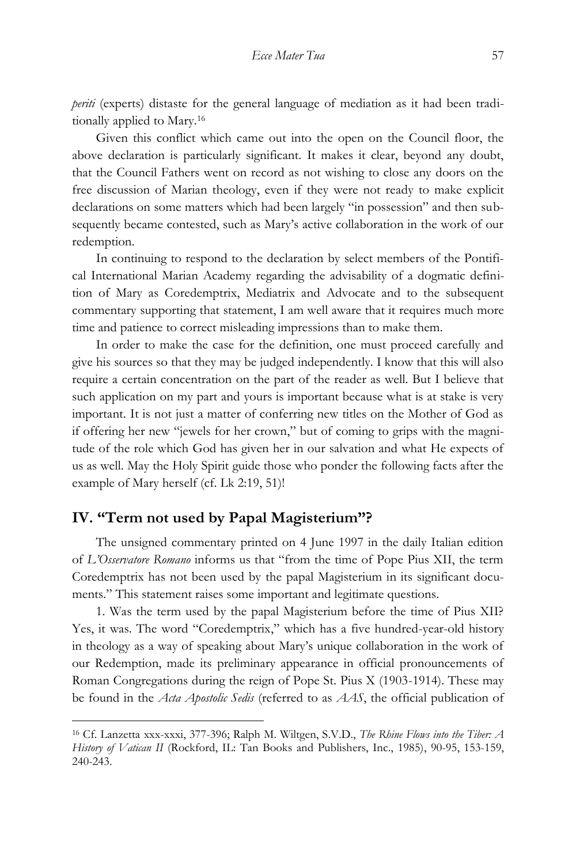*periti* (experts) distaste for the general language of mediation as it had been traditionally applied to Mary.<sup>16</sup>

Given this conflict which came out into the open on the Council floor, the above declaration is particularly significant. It makes it clear, beyond any doubt, that the Council Fathers went on record as not wishing to close any doors on the free discussion of Marian theology, even if they were not ready to make explicit declarations on some matters which had been largely "in possession" and then subsequently became contested, such as Mary's active collaboration in the work of our redemption.

In continuing to respond to the declaration by select members of the Pontifical International Marian Academy regarding the advisability of a dogmatic definition of Mary as Coredemptrix, Mediatrix and Advocate and to the subsequent commentary supporting that statement, I am well aware that it requires much more time and patience to correct misleading impressions than to make them.

In order to make the case for the definition, one must proceed carefully and give his sources so that they may be judged independently. I know that this will also require a certain concentration on the part of the reader as well. But I believe that such application on my part and yours is important because what is at stake is very important. It is not just a matter of conferring new titles on the Mother of God as if offering her new "jewels for her crown," but of coming to grips with the magnitude of the role which God has given her in our salvation and what He expects of us as well. May the Holy Spirit guide those who ponder the following facts after the example of Mary herself (cf. Lk 2:19, 51)!

# **IV. "Term not used by Papal Magisterium"?**

 $\overline{a}$ 

The unsigned commentary printed on 4 June 1997 in the daily Italian edition of *L'Osservatore Romano* informs us that "from the time of Pope Pius XII, the term Coredemptrix has not been used by the papal Magisterium in its significant documents." This statement raises some important and legitimate questions.

1. Was the term used by the papal Magisterium before the time of Pius XII? Yes, it was. The word "Coredemptrix," which has a five hundred-year-old history in theology as a way of speaking about Mary's unique collaboration in the work of our Redemption, made its preliminary appearance in official pronouncements of Roman Congregations during the reign of Pope St. Pius X (1903-1914). These may be found in the *Acta Apostolic Sedis* (referred to as *AAS*, the official publication of

<sup>16</sup> Cf. Lanzetta xxx-xxxi, 377-396; Ralph M. Wiltgen, S.V.D., *The Rhine Flows into the Tiber: A History of Vatican II* (Rockford, IL: Tan Books and Publishers, Inc., 1985), 90-95, 153-159, 240-243.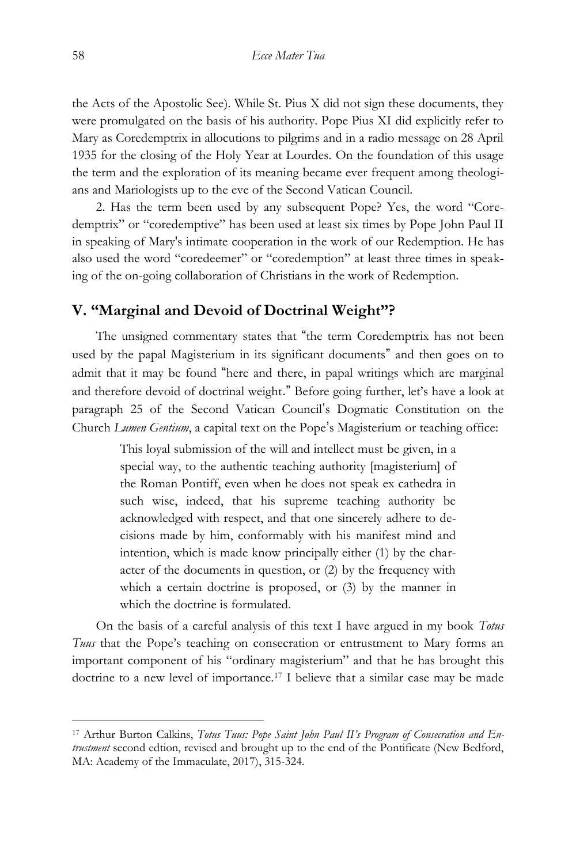the Acts of the Apostolic See). While St. Pius X did not sign these documents, they were promulgated on the basis of his authority. Pope Pius XI did explicitly refer to Mary as Coredemptrix in allocutions to pilgrims and in a radio message on 28 April 1935 for the closing of the Holy Year at Lourdes. On the foundation of this usage the term and the exploration of its meaning became ever frequent among theologians and Mariologists up to the eve of the Second Vatican Council.

2. Has the term been used by any subsequent Pope? Yes, the word "Coredemptrix" or "coredemptive" has been used at least six times by Pope John Paul II in speaking of Mary's intimate cooperation in the work of our Redemption. He has also used the word "coredeemer" or "coredemption" at least three times in speaking of the on-going collaboration of Christians in the work of Redemption.

#### **V. "Marginal and Devoid of Doctrinal Weight"?**

The unsigned commentary states that "the term Coredemptrix has not been used by the papal Magisterium in its significant documents" and then goes on to admit that it may be found "here and there, in papal writings which are marginal and therefore devoid of doctrinal weight." Before going further, let's have a look at paragraph 25 of the Second Vatican Council's Dogmatic Constitution on the Church *Lumen Gentium*, a capital text on the Pope's Magisterium or teaching office:

> This loyal submission of the will and intellect must be given, in a special way, to the authentic teaching authority [magisterium] of the Roman Pontiff, even when he does not speak ex cathedra in such wise, indeed, that his supreme teaching authority be acknowledged with respect, and that one sincerely adhere to decisions made by him, conformably with his manifest mind and intention, which is made know principally either (1) by the character of the documents in question, or (2) by the frequency with which a certain doctrine is proposed, or (3) by the manner in which the doctrine is formulated.

On the basis of a careful analysis of this text I have argued in my book *Totus Tuus* that the Pope's teaching on consecration or entrustment to Mary forms an important component of his "ordinary magisterium" and that he has brought this doctrine to a new level of importance.<sup>17</sup> I believe that a similar case may be made

<sup>17</sup> Arthur Burton Calkins, *Totus Tuus: Pope Saint John Paul II's Program of Consecration and Entrustment* second edtion, revised and brought up to the end of the Pontificate (New Bedford, MA: Academy of the Immaculate, 2017), 315-324.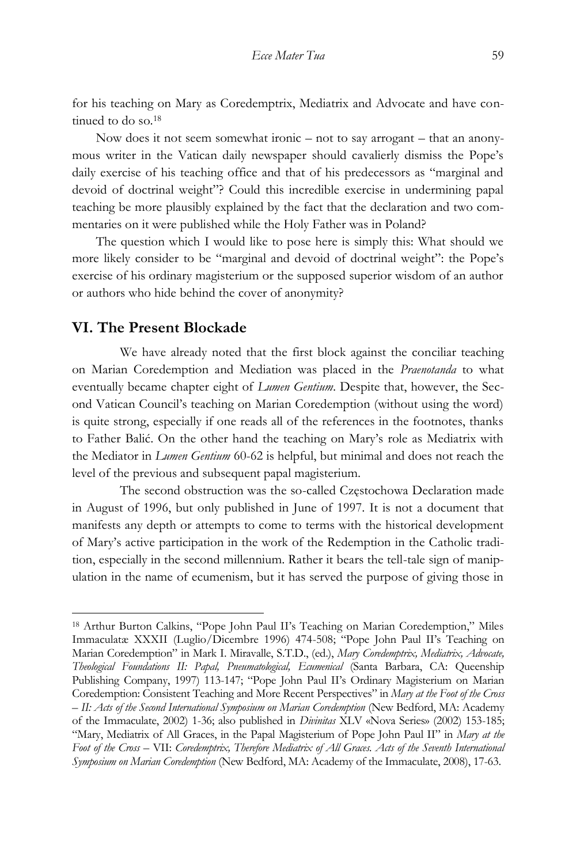for his teaching on Mary as Coredemptrix, Mediatrix and Advocate and have continued to do so.<sup>18</sup>

Now does it not seem somewhat ironic – not to say arrogant – that an anonymous writer in the Vatican daily newspaper should cavalierly dismiss the Pope's daily exercise of his teaching office and that of his predecessors as "marginal and devoid of doctrinal weight"? Could this incredible exercise in undermining papal teaching be more plausibly explained by the fact that the declaration and two commentaries on it were published while the Holy Father was in Poland?

The question which I would like to pose here is simply this: What should we more likely consider to be "marginal and devoid of doctrinal weight": the Pope's exercise of his ordinary magisterium or the supposed superior wisdom of an author or authors who hide behind the cover of anonymity?

### **VI. The Present Blockade**

 $\overline{a}$ 

We have already noted that the first block against the conciliar teaching on Marian Coredemption and Mediation was placed in the *Praenotanda* to what eventually became chapter eight of *Lumen Gentium*. Despite that, however, the Second Vatican Council's teaching on Marian Coredemption (without using the word) is quite strong, especially if one reads all of the references in the footnotes, thanks to Father Balić. On the other hand the teaching on Mary's role as Mediatrix with the Mediator in *Lumen Gentium* 60-62 is helpful, but minimal and does not reach the level of the previous and subsequent papal magisterium.

The second obstruction was the so-called Częstochowa Declaration made in August of 1996, but only published in June of 1997. It is not a document that manifests any depth or attempts to come to terms with the historical development of Mary's active participation in the work of the Redemption in the Catholic tradition, especially in the second millennium. Rather it bears the tell-tale sign of manipulation in the name of ecumenism, but it has served the purpose of giving those in

<sup>18</sup> Arthur Burton Calkins, "Pope John Paul II's Teaching on Marian Coredemption," Miles Immaculatæ XXXII (Luglio/Dicembre 1996) 474-508; "Pope John Paul II's Teaching on Marian Coredemption" in Mark I. Miravalle, S.T.D., (ed.), *Mary Coredemptrix, Mediatrix, Advocate, Theological Foundations II: Papal, Pneumatological, Ecumenical* (Santa Barbara, CA: Queenship Publishing Company, 1997) 113-147; "Pope John Paul II's Ordinary Magisterium on Marian Coredemption: Consistent Teaching and More Recent Perspectives" in *Mary at the Foot of the Cross – II: Acts of the Second International Symposium on Marian Coredemption* (New Bedford, MA: Academy of the Immaculate, 2002) 1-36; also published in *Divinitas* XLV «Nova Series» (2002) 153-185; "Mary, Mediatrix of All Graces, in the Papal Magisterium of Pope John Paul II" in *Mary at the Foot of the Cross –* VII: *Coredemptrix, Therefore Mediatrix of All Graces. Acts of the Seventh International Symposium on Marian Coredemption* (New Bedford, MA: Academy of the Immaculate, 2008), 17-63.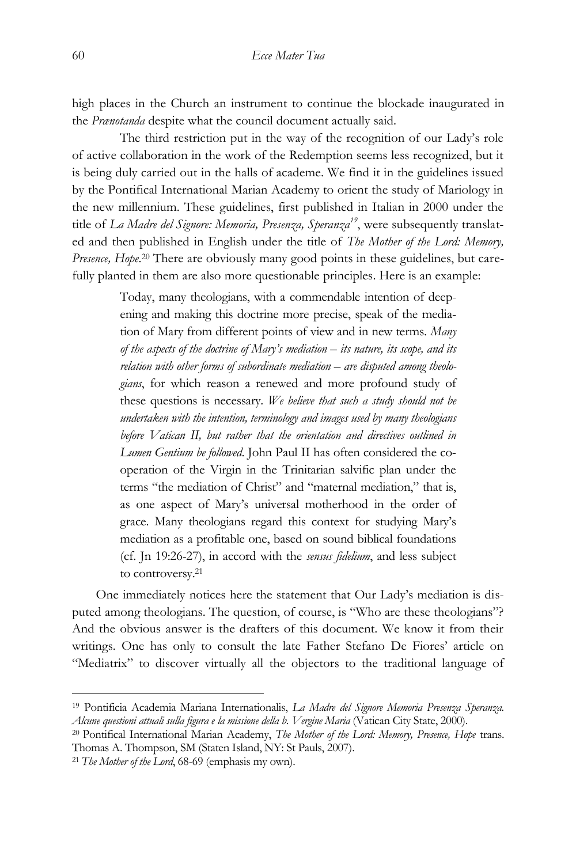high places in the Church an instrument to continue the blockade inaugurated in the *Prænotanda* despite what the council document actually said.

The third restriction put in the way of the recognition of our Lady's role of active collaboration in the work of the Redemption seems less recognized, but it is being duly carried out in the halls of academe. We find it in the guidelines issued by the Pontifical International Marian Academy to orient the study of Mariology in the new millennium. These guidelines, first published in Italian in 2000 under the title of *La Madre del Signore: Memoria, Presenza, Speranza19*, were subsequently translated and then published in English under the title of *The Mother of the Lord: Memory,*  Presence, Hope.<sup>20</sup> There are obviously many good points in these guidelines, but carefully planted in them are also more questionable principles. Here is an example:

> Today, many theologians, with a commendable intention of deepening and making this doctrine more precise, speak of the mediation of Mary from different points of view and in new terms. *Many of the aspects of the doctrine of Mary's mediation – its nature, its scope, and its relation with other forms of subordinate mediation – are disputed among theologians*, for which reason a renewed and more profound study of these questions is necessary. *We believe that such a study should not be undertaken with the intention, terminology and images used by many theologians before Vatican II, but rather that the orientation and directives outlined in Lumen Gentium be followed*. John Paul II has often considered the cooperation of the Virgin in the Trinitarian salvific plan under the terms "the mediation of Christ" and "maternal mediation," that is, as one aspect of Mary's universal motherhood in the order of grace. Many theologians regard this context for studying Mary's mediation as a profitable one, based on sound biblical foundations (cf. Jn 19:26-27), in accord with the *sensus fidelium*, and less subject to controversy.<sup>21</sup>

One immediately notices here the statement that Our Lady's mediation is disputed among theologians. The question, of course, is "Who are these theologians"? And the obvious answer is the drafters of this document. We know it from their writings. One has only to consult the late Father Stefano De Fiores' article on "Mediatrix" to discover virtually all the objectors to the traditional language of

<sup>19</sup> Pontificia Academia Mariana Internationalis, *La Madre del Signore Memoria Presenza Speranza. Alcune questioni attuali sulla figura e la missione della b. Vergine Maria* (Vatican City State, 2000).

<sup>20</sup> Pontifical International Marian Academy, *The Mother of the Lord: Memory, Presence, Hope* trans. Thomas A. Thompson, SM (Staten Island, NY: St Pauls, 2007).

<sup>21</sup> *The Mother of the Lord*, 68-69 (emphasis my own).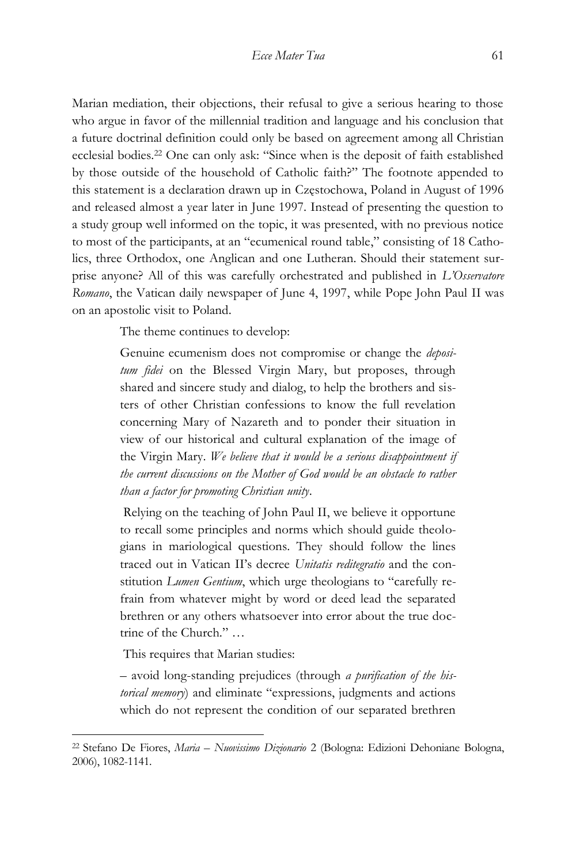Marian mediation, their objections, their refusal to give a serious hearing to those who argue in favor of the millennial tradition and language and his conclusion that a future doctrinal definition could only be based on agreement among all Christian ecclesial bodies.<sup>22</sup> One can only ask: "Since when is the deposit of faith established by those outside of the household of Catholic faith?" The footnote appended to this statement is a declaration drawn up in Częstochowa, Poland in August of 1996 and released almost a year later in June 1997. Instead of presenting the question to a study group well informed on the topic, it was presented, with no previous notice to most of the participants, at an "ecumenical round table," consisting of 18 Catholics, three Orthodox, one Anglican and one Lutheran. Should their statement surprise anyone? All of this was carefully orchestrated and published in *L'Osservatore Romano*, the Vatican daily newspaper of June 4, 1997, while Pope John Paul II was on an apostolic visit to Poland.

The theme continues to develop:

Genuine ecumenism does not compromise or change the *depositum fidei* on the Blessed Virgin Mary, but proposes, through shared and sincere study and dialog, to help the brothers and sisters of other Christian confessions to know the full revelation concerning Mary of Nazareth and to ponder their situation in view of our historical and cultural explanation of the image of the Virgin Mary. *We believe that it would be a serious disappointment if the current discussions on the Mother of God would be an obstacle to rather than a factor for promoting Christian unity*.

Relying on the teaching of John Paul II, we believe it opportune to recall some principles and norms which should guide theologians in mariological questions. They should follow the lines traced out in Vatican II's decree *Unitatis reditegratio* and the constitution *Lumen Gentium*, which urge theologians to "carefully refrain from whatever might by word or deed lead the separated brethren or any others whatsoever into error about the true doctrine of the Church." …

This requires that Marian studies:

 $\overline{a}$ 

– avoid long-standing prejudices (through *a purification of the historical memory*) and eliminate "expressions, judgments and actions which do not represent the condition of our separated brethren

<sup>22</sup> Stefano De Fiores, *Maria – Nuovissimo Dizionario* 2 (Bologna: Edizioni Dehoniane Bologna, 2006), 1082-1141.